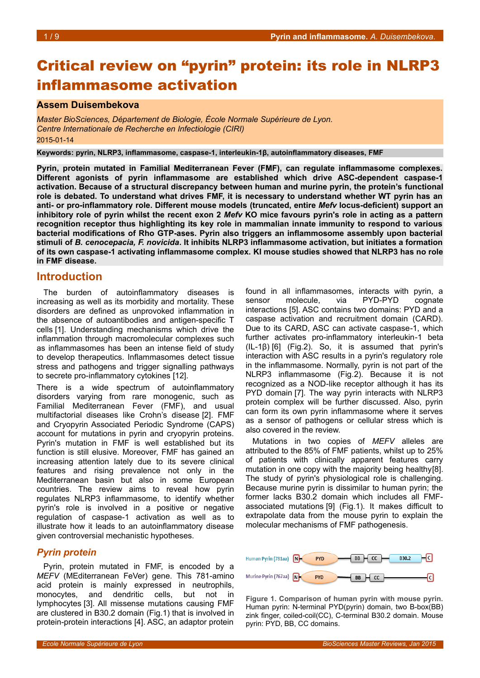# Critical review on "pyrin" protein: its role in NLRP3 inflammasome activation

#### **Assem Duisembekova**

*Master BioSciences, Département de Biologie, École Normale Supérieure de Lyon. Centre Internationale de Recherche en Infectiologie (CIRI)* 2015-01-14

**Keywords: pyrin, NLRP3, inflammasome, caspase-1, interleukin-1β, autoinflammatory diseases, FMF**

**Pyrin, protein mutated in Familial Mediterranean Fever (FMF), can regulate inflammasome complexes. Different agonists of pyrin inflammasome are established which drive ASC-dependent caspase-1 activation. Because of a structural discrepancy between human and murine pyrin, the protein's functional role is debated. To understand what drives FMF, it is necessary to understand whether WT pyrin has an anti- or pro-inflammatory role. Different mouse models (truncated, entire** *Mefv* **locus-deficient) support an inhibitory role of pyrin whilst the recent exon 2** *Mefv* **KO mice favours pyrin's role in acting as a pattern recognition receptor thus highlighting its key role in mammalian innate immunity to respond to various bacterial modifications of Rho GTP-ases. Pyrin also triggers an inflammosome assembly upon bacterial stimuli of** *B. cenocepacia, F. novicida***. It inhibits NLRP3 inflammasome activation, but initiates a formation of its own caspase-1 activating inflammasome complex. KI mouse studies showed that NLRP3 has no role in FMF disease.**

#### **Introduction**

The burden of autoinflammatory diseases is increasing as well as its morbidity and mortality. These disorders are defined as unprovoked inflammation in the absence of autoantibodies and antigen-specific T cells [1]. Understanding mechanisms which drive the inflammation through macromolecular complexes such as inflammasomes has been an intense field of study to develop therapeutics. Inflammasomes detect tissue stress and pathogens and trigger signalling pathways to secrete pro-inflammatory cytokines [12].

There is a wide spectrum of autoinflammatory disorders varying from rare monogenic, such as Familial Mediterranean Fever (FMF), and usual multifactorial diseases like Crohn's disease [2]. FMF and Cryopyrin Associated Periodic Syndrome (CAPS) account for mutations in pyrin and cryopyrin proteins. Pyrin's mutation in FMF is well established but its function is still elusive. Moreover, FMF has gained an increasing attention lately due to its severe clinical features and rising prevalence not only in the Mediterranean basin but also in some European countries. The review aims to reveal how pyrin regulates NLRP3 inflammasome, to identify whether pyrin's role is involved in a positive or negative regulation of caspase-1 activation as well as to illustrate how it leads to an autoinflammatory disease given controversial mechanistic hypotheses.

#### *Pyrin protein*

Pyrin, protein mutated in FMF, is encoded by a *MEFV* (MEditerranean FeVer) gene. This 781-amino acid protein is mainly expressed in neutrophils, monocytes, and dendritic cells, but not in lymphocytes [3]. All missense mutations causing FMF are clustered in B30.2 domain (Fig[.1\)](#page-0-0) that is involved in protein-protein interactions [4]. ASC, an adaptor protein

found in all inflammasomes, interacts with pyrin, a sensor molecule, via PYD-PYD cognate interactions [5]. ASC contains two domains: PYD and a caspase activation and recruitment domain (CARD). Due to its CARD, ASC can activate caspase-1, which further activates pro-inflammatory interleukin-1 beta (IL-1β)) [6] (Fig[.2\)](#page-1-0). So, it is assumed that pyrin's interaction with ASC results in a pyrin's regulatory role in the inflammasome. Normally, pyrin is not part of the NLRP3 inflammasome (Fig[.2\)](#page-1-0). Because it is not recognized as a NOD-like receptor although it has its PYD domain [7]. The way pyrin interacts with NLRP3 protein complex will be further discussed. Also, pyrin can form its own pyrin inflammasome where it serves as a sensor of pathogens or cellular stress which is also covered in the review.

Mutations in two copies of *MEFV* alleles are attributed to the 85% of FMF patients, whilst up to 25% of patients with clinically apparent features carry mutation in one copy with the majority being healthy[8]. The study of pyrin's physiological role is challenging. Because murine pyrin is dissimilar to human pyrin; the former lacks B30.2 domain which includes all FMFassociated mutations [9] (Fig[.1\)](#page-0-0). It makes difficult to extrapolate data from the mouse pyrin to explain the molecular mechanisms of FMF pathogenesis.



<span id="page-0-0"></span>**Figure 1. Comparison of human pyrin with mouse pyrin.** Human pyrin: N-terminal PYD(pyrin) domain, two B-box(BB) zink finger, coiled-coil(CC), C-terminal B30.2 domain. Mouse pyrin: PYD, BB, CC domains.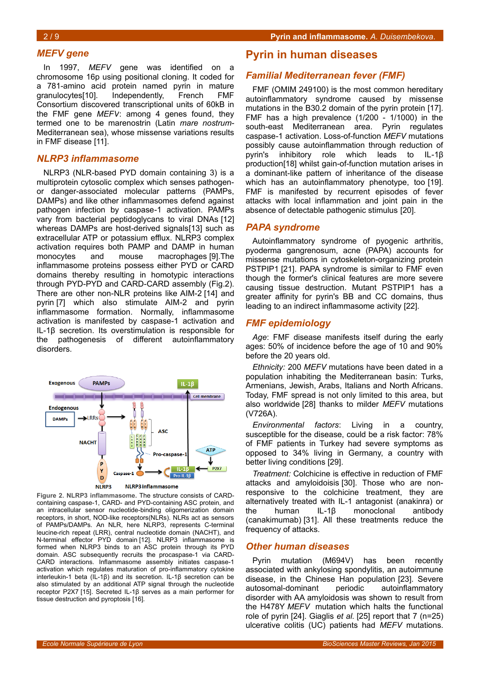# *MEFV gene*

In 1997, *MEFV* gene was identified on a chromosome 16p using positional cloning. It coded for a 781-amino acid protein named pyrin in mature granulocytes[10]. Independently, French FMF Consortium discovered transcriptional units of 60kB in the FMF gene *MEFV*: among 4 genes found, they termed one to be marenostrin (Latin *mare nostrum*-Mediterranean sea), whose missense variations results in FMF disease [11].

#### *NLRP3 inflammasome*

NLRP3 (NLR-based PYD domain containing 3) is a multiprotein cytosolic complex which senses pathogenor danger-associated molecular patterns (PAMPs, DAMPs) and like other inflammasomes defend against pathogen infection by caspase-1 activation. PAMPs vary from bacterial peptidoglycans to viral DNAs [12] whereas DAMPs are host-derived signals[13] such as extracellular ATP or potassium efflux. NLRP3 complex activation requires both PAMP and DAMP in human monocytes and mouse macrophages [9].The inflammasome proteins possess either PYD or CARD domains thereby resulting in homotypic interactions through PYD-PYD and CARD-CARD assembly (Fig[.2\)](#page-1-0). There are other non-NLR proteins like AIM-2 [14] and pyrin [7] which also stimulate AIM-2 and pyrin inflammasome formation. Normally, inflammasome activation is manifested by caspase-1 activation and IL-1β) secretion. Its overstimulation is responsible for the pathogenesis of different autoinflammatory disorders.



<span id="page-1-0"></span>**Figure 2. NLRP3 inflammasome.** The structure consists of CARDcontaining caspase-1, CARD- and PYD-containing ASC protein, and an intracellular sensor nucleotide-binding oligomerization domain receptors, in short, NOD-like receptors(NLRs). NLRs act as sensors of PAMPs/DAMPs. An NLR, here NLRP3, represents C-terminal leucine-rich repeat (LRR), central nucleotide domain (NACHT), and N-terminal effector PYD domain [12]. NLRP3 inflammasome is formed when NLRP3 binds to an ASC protein through its PYD domain. ASC subsequently recruits the procaspase-1 via CARD-CARD interactions. Inflammasome assembly initiates caspase-1 activation which regulates maturation of pro-inflammatory cytokine interleukin-1 beta (IL-1β)) and its secretion. IL-1β) secretion can be also stimulated by an additional ATP signal through the nucleotide receptor P2X7 [15]. Secreted IL-1β serves as a main performer for tissue destruction and pyroptosis [16].

#### **Pyrin in human diseases**

#### *Familial Mediterranean fever (FMF)*

FMF (OMIM 249100) is the most common hereditary autoinflammatory syndrome caused by missense mutations in the B30.2 domain of the pyrin protein [17]. FMF has a high prevalence (1/200 - 1/1000) in the south-east Mediterranean area. Pyrin regulates caspase-1 activation. Loss-of-function *MEFV* mutations possibly cause autoinflammation through reduction of pyrin's inhibitory role which leads to IL-1β) production[18] whilst gain-of-function mutation arises in a dominant-like pattern of inheritance of the disease which has an autoinflammatory phenotype, too [19]. FMF is manifested by recurrent episodes of fever attacks with local inflammation and joint pain in the absence of detectable pathogenic stimulus [20].

#### *PAPA syndrome*

Autoinflammatory syndrome of pyogenic arthritis, pyoderma gangrenosum, acne (PAPA) accounts for missense mutations in cytoskeleton-organizing protein PSTPIP1 [21]. PAPA syndrome is similar to FMF even though the former's clinical features are more severe causing tissue destruction. Mutant PSTPIP1 has a greater affinity for pyrin's BB and CC domains, thus leading to an indirect inflammasome activity [22].

#### *FMF epidemiology*

*Age*: FMF disease manifests itself during the early ages: 50% of incidence before the age of 10 and 90% before the 20 years old.

*Ethnicity:* 200 *MEFV* mutations have been dated in a population inhabiting the Mediterranean basin: Turks, Armenians, Jewish, Arabs, Italians and North Africans. Today, FMF spread is not only limited to this area, but also worldwide [28] thanks to milder *MEFV* mutations (V726A).

*Environmental factors*: Living in a country, susceptible for the disease, could be a risk factor: 78% of FMF patients in Turkey had severe symptoms as opposed to 34% living in Germany, a country with better living conditions [29].

*Treatment:* Colchicine is effective in reduction of FMF attacks and amyloidoisis [30]. Those who are nonresponsive to the colchicine treatment, they are alternatively treated with IL-1 antagonist (anakinra) or the human IL-1β monoclonal antibody (canakimumab) [31]. All these treatments reduce the frequency of attacks.

#### *Other human diseases*

Pyrin mutation (M694V) has been recently associated with ankylosing spondylitis, an autoimmune disease, in the Chinese Han population [23]. Severe autosomal-dominant periodic autoinflammatory autosomal-dominant periodic autoinflammatory disorder with AA amyloidosis was shown to result from the H478Y *MEFV* mutation which halts the functional role of pyrin [24]. Giaglis *et al.* [25] report that 7 (n=25) ulcerative colitis (UC) patients had *MEFV* mutations.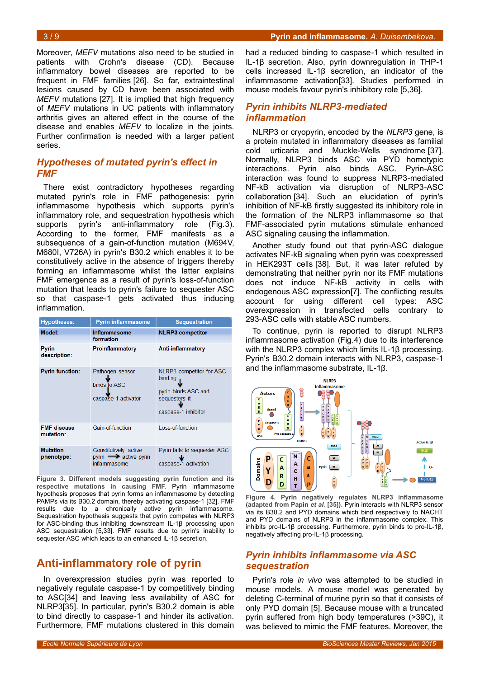Moreover, *MEFV* mutations also need to be studied in patients with Crohn's disease (CD). Because inflammatory bowel diseases are reported to be frequent in FMF families [26]. So far, extraintestinal lesions caused by CD have been associated with *MEFV* mutations [27]. It is implied that high frequency of *MEFV* mutations in UC patients with inflammatory arthritis gives an altered effect in the course of the disease and enables *MEFV* to localize in the joints. Further confirmation is needed with a larger patient series.

## *Hypotheses of mutated pyrin's effect in FMF*

There exist contradictory hypotheses regarding mutated pyrin's role in FMF pathogenesis: pyrin inflammasome hypothesis which supports pyrin's inflammatory role, and sequestration hypothesis which supports pyrin's anti-inflammatory role (Fig[.3\)](#page-2-1). According to the former, FMF manifests as a subsequence of a gain-of-function mutation (M694V, M680I, V726A) in pyrin's B30.2 which enables it to be constitutively active in the absence of triggers thereby forming an inflammasome whilst the latter explains FMF emergence as a result of pyrin's loss-of-function mutation that leads to pyrin's failure to sequester ASC so that caspase-1 gets activated thus inducing inflammation.

| <b>Hypotheses:</b>              | <b>Pyrin inflammasome</b>                                                 | <b>Sequestration</b>                                                                                      |
|---------------------------------|---------------------------------------------------------------------------|-----------------------------------------------------------------------------------------------------------|
| Model:                          | Inflammasome<br>formation                                                 | <b>NLRP3</b> competitor                                                                                   |
| <b>Pyrin</b><br>description:    | Proinflammatory                                                           | Anti-inflammatory                                                                                         |
| <b>Pyrin function:</b>          | Pathogen sensor<br>binds to ASC<br>caspase-1 activator                    | <b>NLRP3</b> competitor for ASC<br>binding<br>pyrin binds ASC and<br>sequesters it<br>caspase-1 inhibitor |
| <b>FMF</b> disease<br>mutation: | Gain-of-function                                                          | Loss-of-function                                                                                          |
| <b>Mutation</b><br>phenotype:   | Constitutively active<br>$pyrin \rightarrow$ active pyrin<br>inflammasome | Pyrin fails to sequester ASC<br>caspase-1 activation                                                      |

<span id="page-2-1"></span>**Figure 3. Different models suggesting pyrin function and its respective mutations in causing FMF.** Pyrin inflammasome hypothesis proposes that pyrin forms an inflammasome by detecting PAMPs via its B30.2 domain, thereby activating caspase-1 [32]. FMF results due to a chronically active pyrin inflammasome. Sequestration hypothesis suggests that pyrin competes with NLRP3 for ASC-binding thus inhibiting downstream IL-1β) processing upon ASC sequestration [5,33]. FMF results due to pyrin's inability to sequester ASC which leads to an enhanced IL-1β secretion.

# **Anti-inflammatory role of pyrin**

In overexpression studies pyrin was reported to negatively regulate caspase-1 by competitively binding to ASC[34] and leaving less availability of ASC for NLRP3[35]. In particular, pyrin's B30.2 domain is able to bind directly to caspase-1 and hinder its activation. Furthermore, FMF mutations clustered in this domain

had a reduced binding to caspase-1 which resulted in IL-1β) secretion. Also, pyrin downregulation in THP-1 cells increased IL-1β secretion, an indicator of the inflammasome activation[33]. Studies performed in mouse models favour pyrin's inhibitory role [5,36].

# *Pyrin inhibits NLRP3-mediated inflammation*

NLRP3 or cryopyrin, encoded by the *NLRP3* gene, is a protein mutated in inflammatory diseases as familial cold urticaria and Muckle-Wells syndrome [37]. Normally, NLRP3 binds ASC via PYD homotypic interactions. Pyrin also binds ASC. Pyrin-ASC interaction was found to suppress NLRP3-mediated NF-kB activation via disruption of NLRP3-ASC collaboration [34]. Such an elucidation of pyrin's inhibition of NF-kB firstly suggested its inhibitory role in the formation of the NLRP3 inflammasome so that FMF-associated pyrin mutations stimulate enhanced ASC signaling causing the inflammation.

Another study found out that pyrin-ASC dialogue activates NF-kB signaling when pyrin was coexpressed in HEK293T cells [38]. But, it was later refuted by demonstrating that neither pyrin nor its FMF mutations does not induce NF-kB activity in cells with endogenous ASC expression[7]. The conflicting results account for using different cell types: ASC overexpression in transfected cells contrary to 293-ASC cells with stable ASC numbers.

To continue, pyrin is reported to disrupt NLRP3 inflammasome activation (Fig[.4\)](#page-2-0) due to its interference with the NLRP3 complex which limits IL-1β processing. Pyrin's B30.2 domain interacts with NLRP3, caspase-1 and the inflammasome substrate, IL-1β).



<span id="page-2-0"></span>**Figure 4. Pyrin negatively regulates NLRP3 inflammasome (adapted from Papin** *et al.* **[35]).** Pyrin interacts with NLRP3 sensor via its B30.2 and PYD domains which bind respectively to NACHT and PYD domains of NLRP3 in the inflammasome complex. This inhibits pro-IL-1β) processing. Furthermore, pyrin binds to pro-IL-1β), negatively affecting pro-IL-1β) processing.

# *Pyrin inhibits inflammasome via ASC sequestration*

Pyrin's role *in vivo* was attempted to be studied in mouse models. A mouse model was generated by deleting C-terminal of murine pyrin so that it consists of only PYD domain [5]. Because mouse with a truncated pyrin suffered from high body temperatures (>39C), it was believed to mimic the FMF features. Moreover, the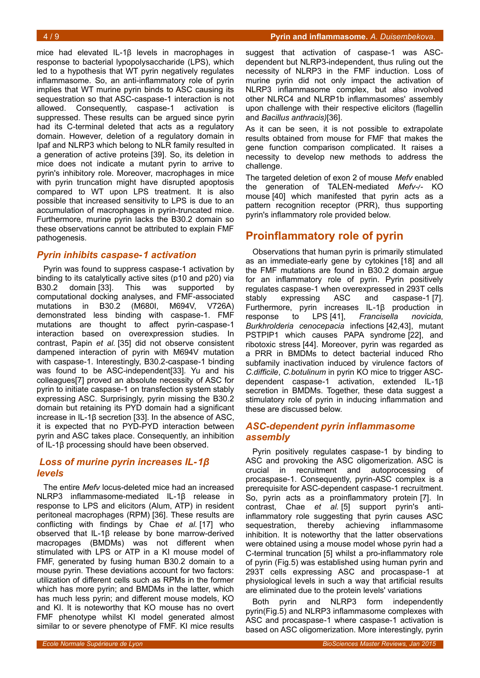mice had elevated IL-1β levels in macrophages in response to bacterial lypopolysaccharide (LPS), which led to a hypothesis that WT pyrin negatively regulates inflammasome. So, an anti-inflammatory role of pyrin implies that WT murine pyrin binds to ASC causing its sequestration so that ASC-caspase-1 interaction is not allowed. Consequently, caspase-1 activation is suppressed. These results can be argued since pyrin had its C-terminal deleted that acts as a regulatory domain. However, deletion of a regulatory domain in Ipaf and NLRP3 which belong to NLR family resulted in a generation of active proteins [39]. So, its deletion in mice does not indicate a mutant pyrin to arrive to pyrin's inhibitory role. Moreover, macrophages in mice with pyrin truncation might have disrupted apoptosis compared to WT upon LPS treatment. It is also possible that increased sensitivity to LPS is due to an accumulation of macrophages in pyrin-truncated mice. Furthermore, murine pyrin lacks the B30.2 domain so these observations cannot be attributed to explain FMF pathogenesis.

# *Pyrin inhibits caspase-1 activation*

Pyrin was found to suppress caspase-1 activation by binding to its catalytically active sites (p10 and p20) via<br>B30.2 domain [33]. This was supported by B30.2 domain [33]. This was supported computational docking analyses, and FMF-associated mutations in B30.2 (M680I, M694V, V726A) demonstrated less binding with caspase-1. FMF mutations are thought to affect pyrin-caspase-1 interaction based on overexpression studies. In contrast, Papin *et al.* [35] did not observe consistent dampened interaction of pyrin with M694V mutation with caspase-1. Interestingly, B30.2-caspase-1 binding was found to be ASC-independent[33]. Yu and his colleagues[7] proved an absolute necessity of ASC for pyrin to initiate caspase-1 on transfection system stably expressing ASC. Surprisingly, pyrin missing the B30.2 domain but retaining its PYD domain had a significant increase in IL-1β secretion [33]. In the absence of ASC, it is expected that no PYD-PYD interaction between pyrin and ASC takes place. Consequently, an inhibition of IL-1β) processing should have been observed.

# *Loss of murine pyrin increases IL-1β levels*

The entire *Mefv* locus-deleted mice had an increased NLRP3 inflammasome-mediated IL-1β) release in response to LPS and elicitors (Alum, ATP) in resident peritoneal macrophages (RPM) [36]. These results are conflicting with findings by Chae *et al.* [17] who observed that IL-1β) release by bone marrow-derived macropages (BMDMs) was not different when stimulated with LPS or ATP in a KI mouse model of FMF, generated by fusing human B30.2 domain to a mouse pyrin. These deviations account for two factors: utilization of different cells such as RPMs in the former which has more pyrin; and BMDMs in the latter, which has much less pyrin; and different mouse models, KO and KI. It is noteworthy that KO mouse has no overt FMF phenotype whilst KI model generated almost similar to or severe phenotype of FMF. KI mice results

suggest that activation of caspase-1 was ASCdependent but NLRP3-independent, thus ruling out the necessity of NLRP3 in the FMF induction. Loss of murine pyrin did not only impact the activation of NLRP3 inflammasome complex, but also involved other NLRC4 and NLRP1b inflammasomes' assembly upon challenge with their respective elicitors (flagellin and *Bacillus anthracis)*[36].

As it can be seen, it is not possible to extrapolate results obtained from mouse for FMF that makes the gene function comparison complicated. It raises a necessity to develop new methods to address the challenge.

The targeted deletion of exon 2 of mouse *Mefv* enabled the generation of TALEN-mediated *Mefv-/-* KO mouse [40] which manifested that pyrin acts as a pattern recognition receptor (PRR), thus supporting pyrin's inflammatory role provided below.

# **Proinflammatory role of pyrin**

Observations that human pyrin is primarily stimulated as an immediate-early gene by cytokines [18] and all the FMF mutations are found in B30.2 domain argue for an inflammatory role of pyrin. Pyrin positively regulates caspase-1 when overexpressed in 293T cells stably expressing ASC and caspase-1 [7]. Furthermore, pyrin increases IL-1β) production in response to LPS [41], *Francisella novicida, Burkhrolderia cenocepacia* infections [42,43], mutant PSTPIP1 which causes PAPA syndrome [22], and ribotoxic stress [44]. Moreover, pyrin was regarded as a PRR in BMDMs to detect bacterial induced Rho subfamily inactivation induced by virulence factors of *C.difficile*, *C.botulinum* in pyrin KO mice to trigger ASCdependent caspase-1 activation, extended IL-1β) secretion in BMDMs. Together, these data suggest a stimulatory role of pyrin in inducing inflammation and these are discussed below.

# *ASC-dependent pyrin inflammasome assembly*

Pyrin positively regulates caspase-1 by binding to ASC and provoking the ASC oligomerization. ASC is crucial in recruitment and autoprocessing of procaspase-1. Consequently, pyrin-ASC complex is a prerequisite for ASC-dependent caspase-1 recruitment. So, pyrin acts as a proinflammatory protein [7]. In contrast, Chae *et al.* [5] support pyrin's antiinflammatory role suggesting that pyrin causes ASC sequestration, thereby achieving inflammasome inhibition. It is noteworthy that the latter observations were obtained using a mouse model whose pyrin had a C-terminal truncation [5] whilst a pro-inflammatory role of pyrin (Fig[.5\)](#page-4-0) was established using human pyrin and 293T cells expressing ASC and procaspase-1 at physiological levels in such a way that artificial results are eliminated due to the protein levels' variations

Both pyrin and NLRP3 form independently pyrin(Fig[.5\)](#page-4-0) and NLRP3 inflammasome complexes with ASC and procaspase-1 where caspase-1 activation is based on ASC oligomerization. More interestingly, pyrin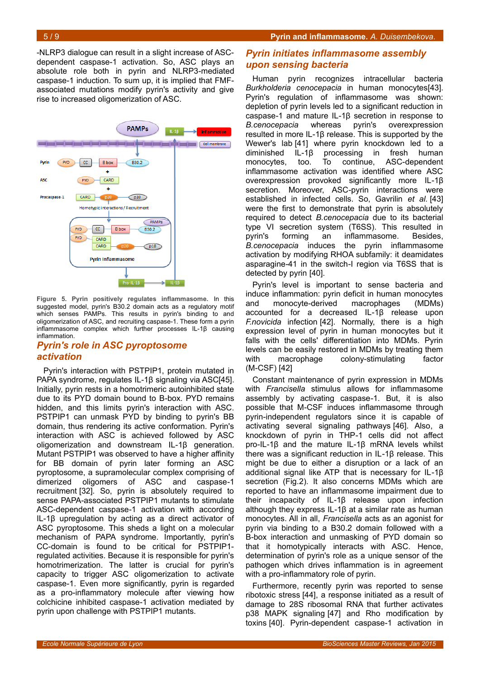-NLRP3 dialogue can result in a slight increase of ASCdependent caspase-1 activation. So, ASC plays an absolute role both in pyrin and NLRP3-mediated caspase-1 induction. To sum up, it is implied that FMFassociated mutations modify pyrin's activity and give rise to increased oligomerization of ASC.



<span id="page-4-0"></span>**Figure 5. Pyrin positively regulates inflammasome.** In this suggested model, pyrin's B30.2 domain acts as a regulatory motif which senses PAMPs. This results in pyrin's binding to and oligomerization of ASC, and recruiting caspase-1. These form a pyrin inflammasome complex which further processes IL-1β) causing inflammation.

# *Pyrin's role in ASC pyroptosome activation*

Pyrin's interaction with PSTPIP1, protein mutated in PAPA syndrome, regulates IL-1β) signaling via ASC[45]. Initially, pyrin rests in a homotrimeric autoinhibited state due to its PYD domain bound to B-box. PYD remains hidden, and this limits pyrin's interaction with ASC. PSTPIP1 can unmask PYD by binding to pyrin's BB domain, thus rendering its active conformation. Pyrin's interaction with ASC is achieved followed by ASC oligomerization and downstream IL-1β) generation. Mutant PSTPIP1 was observed to have a higher affinity for BB domain of pyrin later forming an ASC pyroptosome, a supramolecular complex comprising of dimerized oligomers of ASC and caspase-1 recruitment [32]. So, pyrin is absolutely required to sense PAPA-associated PSTPIP1 mutants to stimulate ASC-dependent caspase-1 activation with according IL-1β) upregulation by acting as a direct activator of ASC pyroptosome. This sheds a light on a molecular mechanism of PAPA syndrome. Importantly, pyrin's CC-domain is found to be critical for PSTPIP1 regulated activities. Because it is responsible for pyrin's homotrimerization. The latter is crucial for pyrin's capacity to trigger ASC oligomerization to activate caspase-1. Even more significantly, pyrin is regarded as a pro-inflammatory molecule after viewing how colchicine inhibited caspase-1 activation mediated by pyrin upon challenge with PSTPIP1 mutants.

# *Pyrin initiates inflammasome assembly upon sensing bacteria*

Human pyrin recognizes intracellular bacteria *Burkholderia cenocepacia* in human monocytes[43]. Pyrin's regulation of inflammasome was shown: depletion of pyrin levels led to a significant reduction in caspase-1 and mature IL-1β) secretion in response to *B.cenocepacia* whereas pyrin's overexpression resulted in more IL-1β) release. This is supported by the Wewer's lab [41] where pyrin knockdown led to a diminished IL-1β) processing in fresh human monocytes, too. To continue, ASC-dependent inflammasome activation was identified where ASC overexpression provoked significantly more IL-1β) secretion. Moreover, ASC-pyrin interactions were established in infected cells. So, Gavrilin *et al.* [43] were the first to demonstrate that pyrin is absolutely required to detect *B.cenocepacia* due to its bacterial type VI secretion system (T6SS). This resulted in pyrin's forming an inflammasome. Besides, *B.cenocepacia* induces the pyrin inflammasome activation by modifying RHOA subfamily: it deamidates asparagine-41 in the switch-I region via T6SS that is detected by pyrin [40].

Pyrin's level is important to sense bacteria and induce inflammation: pyrin deficit in human monocytes and monocyte-derived macrophages (MDMs) accounted for a decreased IL-1β) release upon *F.novicida* infection [42]. Normally, there is a high expression level of pyrin in human monocytes but it falls with the cells' differentiation into MDMs. Pyrin levels can be easily restored in MDMs by treating them with macrophage colony-stimulating factor (M-CSF) [42]

Constant maintenance of pyrin expression in MDMs with *Francisella* stimulus allows for inflammasome assembly by activating caspase-1. But, it is also possible that M-CSF induces inflammasome through pyrin-independent regulators since it is capable of activating several signaling pathways [46]. Also, a knockdown of pyrin in THP-1 cells did not affect pro-IL-1β) and the mature IL-1β) mRNA levels whilst there was a significant reduction in IL-1β release. This might be due to either a disruption or a lack of an additional signal like ATP that is necessary for IL-1β) secretion (Fig[.2\)](#page-1-0). It also concerns MDMs which are reported to have an inflammasome impairment due to their incapacity of IL-1β) release upon infection although they express IL-1 $\beta$  at a similar rate as human monocytes. All in all, *Francisella* acts as an agonist for pyrin via binding to a B30.2 domain followed with a B-box interaction and unmasking of PYD domain so that it homotypically interacts with ASC. Hence, determination of pyrin's role as a unique sensor of the pathogen which drives inflammation is in agreement with a pro-inflammatory role of pyrin.

Furthermore, recently pyrin was reported to sense ribotoxic stress [44], a response initiated as a result of damage to 28S ribosomal RNA that further activates p38 MAPK signaling [47] and Rho modification by toxins [40]. Pyrin-dependent caspase-1 activation in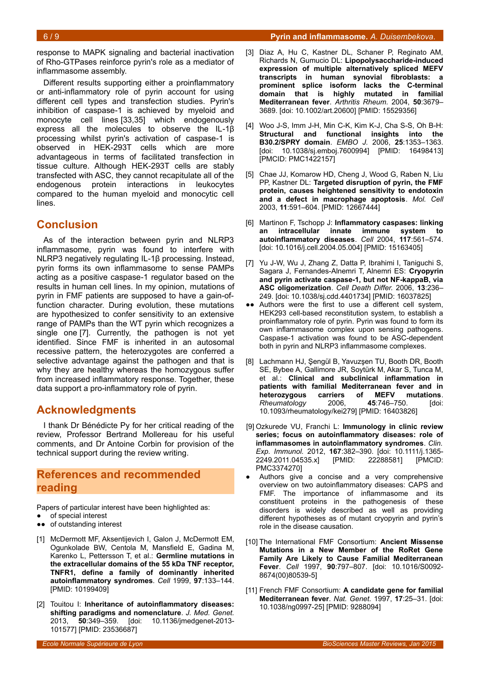response to MAPK signaling and bacterial inactivation of Rho-GTPases reinforce pyrin's role as a mediator of inflammasome assembly.

Different results supporting either a proinflammatory or anti-inflammatory role of pyrin account for using different cell types and transfection studies. Pyrin's inhibition of caspase-1 is achieved by myeloid and monocyte cell lines [33,35] which endogenously express all the molecules to observe the IL-1β) processing whilst pyrin's activation of caspase-1 is observed in HEK-293T cells which are more advantageous in terms of facilitated transfection in tissue culture. Although HEK-293T cells are stably transfected with ASC, they cannot recapitulate all of the endogenous protein interactions in leukocytes compared to the human myeloid and monocytic cell lines.

# **Conclusion**

As of the interaction between pyrin and NLRP3 inflammasome, pyrin was found to interfere with NLRP3 negatively regulating IL-1β) processing. Instead, pyrin forms its own inflammasome to sense PAMPs acting as a positive caspase-1 regulator based on the results in human cell lines. In my opinion, mutations of pyrin in FMF patients are supposed to have a gain-offunction character. During evolution, these mutations are hypothesized to confer sensitivity to an extensive range of PAMPs than the WT pyrin which recognizes a single one [7]. Currently, the pathogen is not yet identified. Since FMF is inherited in an autosomal recessive pattern, the heterozygotes are conferred a selective advantage against the pathogen and that is why they are healthy whereas the homozygous suffer from increased inflammatory response. Together, these data support a pro-inflammatory role of pyrin.

# **Acknowledgments**

I thank Dr Bénédicte Py for her critical reading of the review, Professor Bertrand Mollereau for his useful comments, and Dr Antoine Corbin for provision of the technical support during the review writing.

# **References and recommended reading**

Papers of particular interest have been highlighted as:

- of special interest
- ●● of outstanding interest
- [1] McDermott MF, Aksentijevich I, Galon J, McDermott EM, Ogunkolade BW, Centola M, Mansfield E, Gadina M, Karenko L, Pettersson T, et al.: **Germline mutations in the extracellular domains of the 55 kDa TNF receptor, TNFR1, define a family of dominantly inherited autoinflammatory syndromes**. *Cell* 1999, **97**:133–144. [PMID: 10199409]
- [2] Touitou I: **Inheritance of autoinflammatory diseases: shifting paradigms and nomenclature**. *J. Med. Genet.* 2013, **50**:349–359. [doi: 10.1136/jmedgenet-2013- 101577] [PMID: 23536687]
- [3] Diaz A, Hu C, Kastner DL, Schaner P, Reginato AM, Richards N, Gumucio DL: **Lipopolysaccharide-induced expression of multiple alternatively spliced MEFV transcripts in human synovial fibroblasts: a prominent splice isoform lacks the C-terminal domain that is highly mutated in familial Mediterranean fever**. *Arthritis Rheum.* 2004, **50**:3679– 3689. [doi: 10.1002/art.20600] [PMID: 15529356]
- [4] Woo J-S, Imm J-H, Min C-K, Kim K-J, Cha S-S, Oh B-H: **Structural and functional insights into the B30.2/SPRY domain**. *EMBO J.* 2006, **25**:1353–1363. [doi: 10.1038/sj.emboj.7600994] [PMID: 16498413] [PMCID: PMC1422157]
- [5] Chae JJ, Komarow HD, Cheng J, Wood G, Raben N, Liu PP, Kastner DL: **Targeted disruption of pyrin, the FMF protein, causes heightened sensitivity to endotoxin and a defect in macrophage apoptosis**. *Mol. Cell* 2003, **11**:591–604. [PMID: 12667444]
- [6] Martinon F, Tschopp J: **Inflammatory caspases: linking an intracellular innate immune system to autoinflammatory diseases**. *Cell* 2004, **117**:561–574. [doi: 10.1016/j.cell.2004.05.004] [PMID: 15163405]
- [7] Yu J-W, Wu J, Zhang Z, Datta P, Ibrahimi I, Taniguchi S, Sagara J, Fernandes-Alnemri T, Alnemri ES: **Cryopyrin and pyrin activate caspase-1, but not NF-kappaB, via ASC oligomerization**. *Cell Death Differ.* 2006, **13**:236– 249. [doi: 10.1038/sj.cdd.4401734] [PMID: 16037825]
- ●● Authors were the first to use a different cell system, HEK293 cell-based reconstitution system, to establish a proinflammatory role of pyrin. Pyrin was found to form its own inflammasome complex upon sensing pathogens. Caspase-1 activation was found to be ASC-dependent both in pyrin and NLRP3 inflammasome complexes.
- [8] Lachmann HJ, Şengül B, Yavuzşen TU, Booth DR, Booth SE, Bybee A, Gallimore JR, Soytürk M, Akar S, Tunca M, et al.: **Clinical and subclinical inflammation in patients with familial Mediterranean fever and in heterozygous carriers of MEFV mutations**. *Rheumatology* 2006, 45:746-750. 10.1093/rheumatology/kei279] [PMID: 16403826]
- [9] Ozkurede VU, Franchi L: **Immunology in clinic review series; focus on autoinflammatory diseases: role of inflammasomes in autoinflammatory syndromes**. *Clin. Exp. Immunol.* 2012, **167**:382–390. [doi: 10.1111/j.1365- 2249.2011.04535.x] [PMID: 22288581] [PMCID: PMC3374270]
- Authors give a concise and a very comprehensive overview on two autoinflammatory diseases: CAPS and FMF. The importance of inflammasome and its constituent proteins in the pathogenesis of these disorders is widely described as well as providing different hypotheses as of mutant cryopyrin and pyrin's role in the disease causation.
- [10] The International FMF Consortium: **Ancient Missense Mutations in a New Member of the RoRet Gene Family Are Likely to Cause Familial Mediterranean Fever**. *Cell* 1997, **90**:797–807. [doi: 10.1016/S0092- 8674(00)80539-5]
- [11] French FMF Consortium: **A candidate gene for familial Mediterranean fever**. *Nat. Genet.* 1997, **17**:25–31. [doi: 10.1038/ng0997-25] [PMID: 9288094]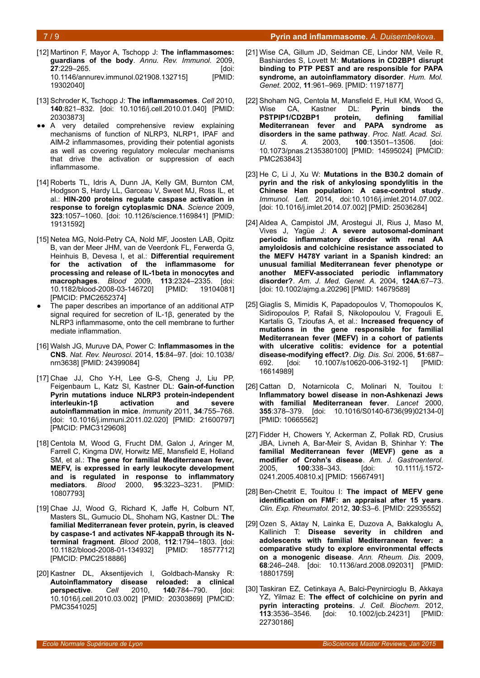#### 7 / 9 **Pyrin and inflammasome***. A. Duisembekova.*

- [12] Martinon F, Mayor A, Tschopp J: **The inflammasomes: guardians of the body**. *Annu. Rev. Immunol.* 2009, **27**:229–265. [doi: 10.1146/annurev.immunol.021908.132715] [PMID: 19302040]
- [13] Schroder K, Tschopp J: **The inflammasomes**. *Cell* 2010, **140**:821–832. [doi: 10.1016/j.cell.2010.01.040] [PMID: 20303873]
- A very detailed comprehensive review explaining mechanisms of function of NLRP3, NLRP1, IPAF and AIM-2 inflammasomes, providing their potential agonists as well as covering regulatory molecular mechanisms that drive the activation or suppression of each inflammasome.
- [14] Roberts TL, Idris A, Dunn JA, Kelly GM, Burnton CM, Hodgson S, Hardy LL, Garceau V, Sweet MJ, Ross IL, et al.: **HIN-200 proteins regulate caspase activation in response to foreign cytoplasmic DNA**. *Science* 2009, **323**:1057–1060. [doi: 10.1126/science.1169841] [PMID: 19131592]
- [15] Netea MG, Nold-Petry CA, Nold MF, Joosten LAB, Opitz B, van der Meer JHM, van de Veerdonk FL, Ferwerda G, Heinhuis B, Devesa I, et al.: **Differential requirement for the activation of the inflammasome for processing and release of IL-1beta in monocytes and macrophages**. *Blood* 2009, **113**:2324–2335. [doi: 10.1182/blood-2008-03-146720] [PMID: 19104081] [PMCID: PMC2652374]
- The paper describes an importance of an additional ATP signal required for secretion of IL-1β), generated by the NLRP3 inflammasome, onto the cell membrane to further mediate inflammation.
- [16] Walsh JG, Muruve DA, Power C: **Inflammasomes in the CNS**. *Nat. Rev. Neurosci.* 2014, **15**:84–97. [doi: 10.1038/ nrn3638] [PMID: 24399084]
- [17] Chae JJ, Cho Y-H, Lee G-S, Cheng J, Liu PP, Feigenbaum L, Katz SI, Kastner DL: **Gain-of-function Pyrin mutations induce NLRP3 protein-independent interleukin-1β activation and severe autoinflammation in mice**. *Immunity* 2011, **34**:755–768. [doi: 10.1016/j.immuni.2011.02.020] [PMID: 21600797] [PMCID: PMC3129608]
- [18] Centola M, Wood G, Frucht DM, Galon J, Aringer M, Farrell C, Kingma DW, Horwitz ME, Mansfield E, Holland SM, et al.: **The gene for familial Mediterranean fever, MEFV, is expressed in early leukocyte development and is regulated in response to inflammatory mediators**. *Blood* 2000, **95**:3223–3231. [PMID: 10807793]
- [19] Chae JJ, Wood G, Richard K, Jaffe H, Colburn NT, Masters SL, Gumucio DL, Shoham NG, Kastner DL: **The familial Mediterranean fever protein, pyrin, is cleaved by caspase-1 and activates NF-kappaB through its Nterminal fragment**. *Blood* 2008, **112**:1794–1803. [doi: 10.1182/blood-2008-01-134932] [PMID: 18577712] [PMCID: PMC2518886]
- [20] Kastner DL, Aksentijevich I, Goldbach-Mansky R: **Autoinflammatory disease reloaded: a clinical perspective**. *Cell* 2010, **140**:784–790. [doi: 10.1016/j.cell.2010.03.002] [PMID: 20303869] [PMCID: PMC3541025]
- [21] Wise CA, Gillum JD, Seidman CE, Lindor NM, Veile R, Bashiardes S, Lovett M: **Mutations in CD2BP1 disrupt binding to PTP PEST and are responsible for PAPA syndrome, an autoinflammatory disorder**. *Hum. Mol. Genet.* 2002, **11**:961–969. [PMID: 11971877]
- [22] Shoham NG, Centola M, Mansfield E, Hull KM, Wood G, Wise CA, Kastner DL: **Pyrin binds the PSTPIP1/CD2BP1 protein, defining familial Mediterranean fever and PAPA syndrome as disorders in the same pathway**. *Proc. Natl. Acad. Sci. U. S. A.* 2003, **100**:13501–13506. [doi: 10.1073/pnas.2135380100] [PMID: 14595024] [PMCID: PMC263843]
- [23] He C, Li J, Xu W: **Mutations in the B30.2 domain of pyrin and the risk of ankylosing spondylitis in the Chinese Han population: A case-control study**. *Immunol. Lett.* 2014, doi:10.1016/j.imlet.2014.07.002. [doi: 10.1016/j.imlet.2014.07.002] [PMID: 25036284]
- [24] Aldea A, Campistol JM, Arostegui JI, Rius J, Maso M, Vives J, Yagüe J: **A severe autosomal-dominant periodic inflammatory disorder with renal AA amyloidosis and colchicine resistance associated to the MEFV H478Y variant in a Spanish kindred: an unusual familial Mediterranean fever phenotype or another MEFV-associated periodic inflammatory disorder?**. *Am. J. Med. Genet. A.* 2004, **124A**:67–73. [doi: 10.1002/ajmg.a.20296] [PMID: 14679589]
- [25] Giaglis S, Mimidis K, Papadopoulos V, Thomopoulos K, Sidiropoulos P, Rafail S, Nikolopoulou V, Fragouli E, Kartalis G, Tzioufas A, et al.: **Increased frequency of mutations in the gene responsible for familial Mediterranean fever (MEFV) in a cohort of patients with ulcerative colitis: evidence for a potential disease-modifying effect?**. *Dig. Dis. Sci.* 2006, **51**:687– 692. [doi: 10.1007/s10620-006-3192-1] [PMID: 16614989]
- [26] Cattan D, Notarnicola C, Molinari N, Touitou I: **Inflammatory bowel disease in non-Ashkenazi Jews with familial Mediterranean fever**. *Lancet* 2000, **355**:378–379. [doi: 10.1016/S0140-6736(99)02134-0] [PMID: 10665562]
- [27] Fidder H, Chowers Y, Ackerman Z, Pollak RD, Crusius JBA, Livneh A, Bar-Meir S, Avidan B, Shinhar Y: **The familial Mediterranean fever (MEVF) gene as a modifier of Crohn's disease**. *Am. J. Gastroenterol.* 2005, **100**:338–343. [doi: 10.1111/j.1572- 0241.2005.40810.x] [PMID: 15667491]
- [28] Ben-Chetrit E, Touitou I: **The impact of MEFV gene identification on FMF: an appraisal after 15 years**. *Clin. Exp. Rheumatol.* 2012, **30**:S3–6. [PMID: 22935552]
- [29] Ozen S, Aktay N, Lainka E, Duzova A, Bakkaloglu A, Kallinich T: **Disease severity in children and adolescents with familial Mediterranean fever: a comparative study to explore environmental effects on a monogenic disease**. *Ann. Rheum. Dis.* 2009, **68**:246–248. [doi: 10.1136/ard.2008.092031] [PMID: 18801759]
- [30] Taskiran EZ, Cetinkaya A, Balci-Peynircioglu B, Akkaya YZ, Yilmaz E: **The effect of colchicine on pyrin and pyrin interacting proteins**. *J. Cell. Biochem.* 2012, **113**:3536–3546. [doi: 10.1002/jcb.24231] [PMID: 22730186]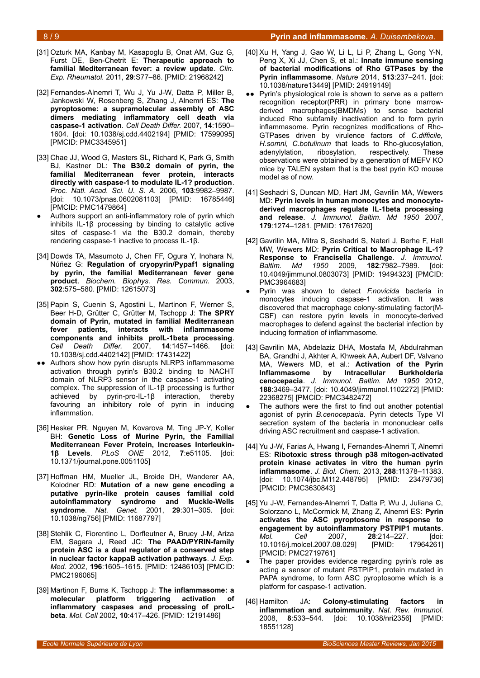- [31] Ozturk MA, Kanbay M, Kasapoglu B, Onat AM, Guz G, Furst DE, Ben-Chetrit E: **Therapeutic approach to familial Mediterranean fever: a review update**. *Clin. Exp. Rheumatol.* 2011, **29**:S77–86. [PMID: 21968242]
- [32] Fernandes-Alnemri T, Wu J, Yu J-W, Datta P, Miller B, Jankowski W, Rosenberg S, Zhang J, Alnemri ES: **The pyroptosome: a supramolecular assembly of ASC dimers mediating inflammatory cell death via caspase-1 activation**. *Cell Death Differ.* 2007, **14**:1590– 1604. [doi: 10.1038/sj.cdd.4402194] [PMID: 17599095] [PMCID: PMC3345951]
- [33] Chae JJ, Wood G, Masters SL, Richard K, Park G, Smith BJ, Kastner DL: **The B30.2 domain of pyrin, the familial Mediterranean fever protein, interacts directly with caspase-1 to modulate IL-1? production**. *Proc. Natl. Acad. Sci. U. S. A.* 2006, **103**:9982–9987. [doi: 10.1073/pnas.0602081103] [PMID: 16785446] [PMCID: PMC1479864]
- Authors support an anti-inflammatory role of pyrin which inhibits IL-1β) processing by binding to catalytic active sites of caspase-1 via the B30.2 domain, thereby rendering caspase-1 inactive to process IL-1β).
- [34] Dowds TA, Masumoto J, Chen FF, Ogura Y, Inohara N, Núñez G: **Regulation of cryopyrin/Pypaf1 signaling by pyrin, the familial Mediterranean fever gene product**. *Biochem. Biophys. Res. Commun.* 2003, **302**:575–580. [PMID: 12615073]
- [35] Papin S, Cuenin S, Agostini L, Martinon F, Werner S, Beer H-D, Grütter C, Grütter M, Tschopp J: **The SPRY domain of Pyrin, mutated in familial Mediterranean fever patients, interacts with inflammasome components and inhibits proIL-1beta processing**. *Cell Death Differ.* 2007, **14**:1457–1466. [doi: 10.1038/sj.cdd.4402142] [PMID: 17431422]
- ●● Authors show how pyrin disrupts NLRP3 inflammasome activation through pyrin's B30.2 binding to NACHT domain of NLRP3 sensor in the caspase-1 activating complex. The suppression of IL-1 $\beta$  processing is further achieved by pyrin-pro-IL-1β) interaction, thereby favouring an inhibitory role of pyrin in inducing inflammation.
- [36] Hesker PR, Nguyen M, Kovarova M, Ting JP-Y, Koller BH: **Genetic Loss of Murine Pyrin, the Familial Mediterranean Fever Protein, Increases Interleukin-1β Levels**. *PLoS ONE* 2012, **7**:e51105. [doi: 10.1371/journal.pone.0051105]
- [37] Hoffman HM, Mueller JL, Broide DH, Wanderer AA, Kolodner RD: **Mutation of a new gene encoding a putative pyrin-like protein causes familial cold autoinflammatory syndrome and Muckle-Wells syndrome**. *Nat. Genet.* 2001, **29**:301–305. [doi: 10.1038/ng756] [PMID: 11687797]
- [38] Stehlik C, Fiorentino L, Dorfleutner A, Bruey J-M, Ariza EM, Sagara J, Reed JC: **The PAAD/PYRIN-family protein ASC is a dual regulator of a conserved step in nuclear factor kappaB activation pathways**. *J. Exp. Med.* 2002, **196**:1605–1615. [PMID: 12486103] [PMCID: PMC2196065]
- [39] Martinon F, Burns K, Tschopp J: **The inflammasome: a molecular platform triggering activation of inflammatory caspases and processing of proILbeta**. *Mol. Cell* 2002, **10**:417–426. [PMID: 12191486]
- [40] Xu H, Yang J, Gao W, Li L, Li P, Zhang L, Gong Y-N, Peng X, Xi JJ, Chen S, et al.: **Innate immune sensing of bacterial modifications of Rho GTPases by the Pyrin inflammasome**. *Nature* 2014, **513**:237–241. [doi: 10.1038/nature13449] [PMID: 24919149]
- ●● Pyrin's physiological role is shown to serve as a pattern recognition receptor(PRR) in primary bone marrowderived macrophages(BMDMs) to sense bacterial induced Rho subfamily inactivation and to form pyrin inflammasome. Pyrin recognizes modifications of Rho-GTPases driven by virulence factors of *C.difficile, H.somni, C.botulinum* that leads to Rho-glucosylation, adenylylation, ribosylation, respectively. These observations were obtained by a generation of MEFV KO mice by TALEN system that is the best pyrin KO mouse model as of now.
- [41] Seshadri S, Duncan MD, Hart JM, Gavrilin MA, Wewers MD: **Pyrin levels in human monocytes and monocytederived macrophages regulate IL-1beta processing and release**. *J. Immunol. Baltim. Md 1950* 2007, **179**:1274–1281. [PMID: 17617620]
- [42] Gavrilin MA, Mitra S, Seshadri S, Nateri J, Berhe F, Hall MW, Wewers MD: **Pyrin Critical to Macrophage IL-1? Response to Francisella Challenge**. *J. Immunol. Baltim. Md 1950* 2009, **182**:7982–7989. [doi: 10.4049/jimmunol.0803073] [PMID: 19494323] [PMCID: PMC3964683]
- Pyrin was shown to detect *F.novicida* bacteria in monocytes inducing caspase-1 activation. It was discovered that macrophage colony-stimulating factor(M-CSF) can restore pyrin levels in monocyte-derived macrophages to defend against the bacterial infection by inducing formation of inflammasome.
- [43] Gavrilin MA, Abdelaziz DHA, Mostafa M, Abdulrahman BA, Grandhi J, Akhter A, Khweek AA, Aubert DF, Valvano MA, Wewers MD, et al.: **Activation of the Pyrin Inflammasome by Intracellular Burkholderia cenocepacia**. *J. Immunol. Baltim. Md 1950* 2012, **188**:3469–3477. [doi: 10.4049/jimmunol.1102272] [PMID: 22368275] [PMCID: PMC3482472]
- The authors were the first to find out another potential agonist of pyrin *B.cenocepacia*. Pyrin detects Type VI secretion system of the bacteria in mononuclear cells driving ASC recruitment and caspase-1 activation.
- [44] Yu J-W, Farias A, Hwang I, Fernandes-Alnemri T, Alnemri ES: **Ribotoxic stress through p38 mitogen-activated protein kinase activates in vitro the human pyrin inflammasome**. *J. Biol. Chem.* 2013, **288**:11378–11383. [doi: 10.1074/jbc.M112.448795] [PMID: 23479736] [PMCID: PMC3630843]
- [45] Yu J-W, Fernandes-Alnemri T, Datta P, Wu J, Juliana C, Solorzano L, McCormick M, Zhang Z, Alnemri ES: **Pyrin activates the ASC pyroptosome in response to engagement by autoinflammatory PSTPIP1 mutants**. *Mol. Cell* 2007, **28**:214–227. [doi: 10.1016/j.molcel.2007.08.029] [PMID: 17964261] [PMCID: PMC2719761]
- The paper provides evidence regarding pyrin's role as acting a sensor of mutant PSTPIP1, protein mutated in PAPA syndrome, to form ASC pyroptosome which is a platform for caspase-1 activation.
- [46] Hamilton JA: **Colony-stimulating factors in inflammation and autoimmunity**. *Nat. Rev. Immunol.* 2008, **8**:533–544. [doi: 10.1038/nri2356] [PMID: 18551128]